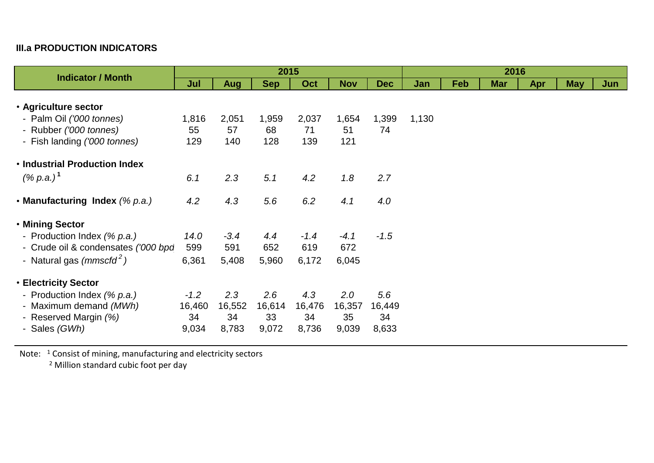## **III.a PRODUCTION INDICATORS**

| <b>Indicator / Month</b>                                                                                                       | 2015                            |                              |                              |                              |                              |                              |       | 2016       |            |     |            |     |  |
|--------------------------------------------------------------------------------------------------------------------------------|---------------------------------|------------------------------|------------------------------|------------------------------|------------------------------|------------------------------|-------|------------|------------|-----|------------|-----|--|
|                                                                                                                                | Jul                             | Aug                          | <b>Sep</b>                   | Oct                          | <b>Nov</b>                   | <b>Dec</b>                   | Jan   | <b>Feb</b> | <b>Mar</b> | Apr | <b>May</b> | Jun |  |
| • Agriculture sector<br>- Palm Oil ('000 tonnes)<br>- Rubber ('000 tonnes)<br>- Fish landing ('000 tonnes)                     | 1,816<br>55<br>129              | 2,051<br>57<br>140           | 1,959<br>68<br>128           | 2,037<br>71<br>139           | 1,654<br>51<br>121           | 1,399<br>74                  | 1,130 |            |            |     |            |     |  |
| . Industrial Production Index<br>$( % p.a.)^1$                                                                                 | 6.1                             | 2.3                          | 5.1                          | 4.2                          | 1.8                          | 2.7                          |       |            |            |     |            |     |  |
| • Manufacturing Index (% p.a.)                                                                                                 | 4.2                             | 4.3                          | 5.6                          | 6.2                          | 4.1                          | 4.0                          |       |            |            |     |            |     |  |
| • Mining Sector<br>- Production Index (% p.a.)<br>- Crude oil & condensates ('000 bpa<br>- Natural gas $(mmscfd^2)$            | 14.0<br>599<br>6,361            | $-3.4$<br>591<br>5,408       | 4.4<br>652<br>5,960          | $-1.4$<br>619<br>6,172       | $-4.1$<br>672<br>6,045       | $-1.5$                       |       |            |            |     |            |     |  |
| <b>• Electricity Sector</b><br>- Production Index (% p.a.)<br>- Maximum demand (MWh)<br>- Reserved Margin (%)<br>- Sales (GWh) | $-1.2$<br>16,460<br>34<br>9,034 | 2.3<br>16,552<br>34<br>8,783 | 2.6<br>16,614<br>33<br>9,072 | 4.3<br>16,476<br>34<br>8,736 | 2.0<br>16,357<br>35<br>9,039 | 5.6<br>16,449<br>34<br>8,633 |       |            |            |     |            |     |  |

Note: <sup>1</sup> Consist of mining, manufacturing and electricity sectors

<sup>2</sup> Million standard cubic foot per day